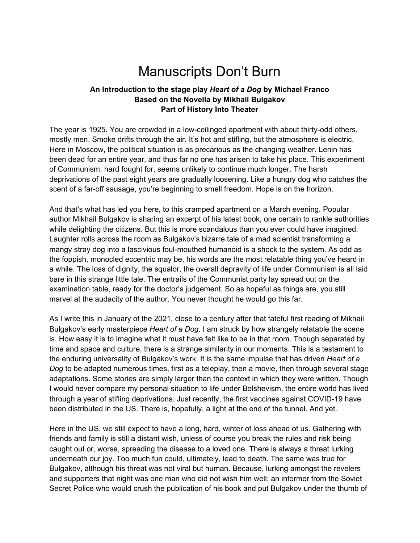# Manuscripts Don't Burn

#### **An Introduction to the stage play** *Heart of a Dog* **by Michael Franco Based on the Novella by Mikhail Bulgakov Part of History Into Theater**

The year is 1925. You are crowded in a low-ceilinged apartment with about thirty-odd others, mostly men. Smoke drifts through the air. It's hot and stifling, but the atmosphere is electric. Here in Moscow, the political situation is as precarious as the changing weather. Lenin has been dead for an entire year, and thus far no one has arisen to take his place. This experiment of Communism, hard fought for, seems unlikely to continue much longer. The harsh deprivations of the past eight years are gradually loosening. Like a hungry dog who catches the scent of a far-off sausage, you're beginning to smell freedom. Hope is on the horizon.

And that's what has led you here, to this cramped apartment on a March evening. Popular author Mikhail Bulgakov is sharing an excerpt of his latest book, one certain to rankle authorities while delighting the citizens. But this is more scandalous than you ever could have imagined. Laughter rolls across the room as Bulgakov's bizarre tale of a mad scientist transforming a mangy stray dog into a lascivious foul-mouthed humanoid is a shock to the system. As odd as the foppish, monocled eccentric may be, his words are the most relatable thing you've heard in a while. The loss of dignity, the squalor, the overall depravity of life under Communism is all laid bare in this strange little tale. The entrails of the Communist party lay spread out on the examination table, ready for the doctor's judgement. So as hopeful as things are, you still marvel at the audacity of the author. You never thought he would go this far.

As I write this in January of the 2021, close to a century after that fateful first reading of Mikhail Bulgakov's early masterpiece *Heart of a Dog,* I am struck by how strangely relatable the scene is. How easy it is to imagine what it must have felt like to be in that room. Though separated by time and space and culture, there is a strange similarity in our moments. This is a testament to the enduring universality of Bulgakov's work. It is the same impulse that has driven *Heart of a Dog* to be adapted numerous times, first as a teleplay, then a movie, then through several stage adaptations. Some stories are simply larger than the context in which they were written. Though I would never compare my personal situation to life under Bolshevism, the entire world has lived through a year of stifling deprivations. Just recently, the first vaccines against COVID-19 have been distributed in the US. There is, hopefully, a light at the end of the tunnel. And yet.

Here in the US, we still expect to have a long, hard, winter of loss ahead of us. Gathering with friends and family is still a distant wish, unless of course you break the rules and risk being caught out or, worse, spreading the disease to a loved one. There is always a threat lurking underneath our joy. Too much fun could, ultimately, lead to death. The same was true for Bulgakov, although his threat was not viral but human. Because, lurking amongst the revelers and supporters that night was one man who did not wish him well: an informer from the Soviet Secret Police who would crush the publication of his book and put Bulgakov under the thumb of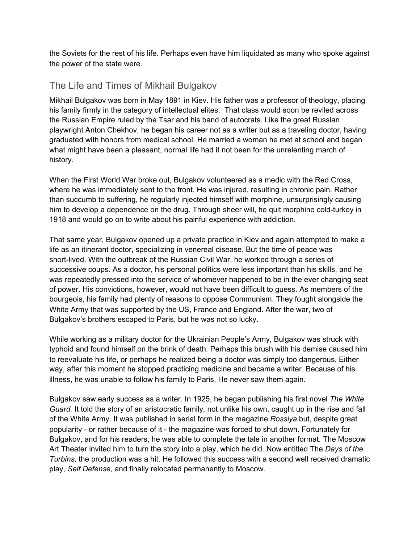the Soviets for the rest of his life. Perhaps even have him liquidated as many who spoke against the power of the state were.

## The Life and Times of Mikhail Bulgakov

Mikhail Bulgakov was born in May 1891 in Kiev. His father was a professor of theology, placing his family firmly in the category of intellectual elites. That class would soon be reviled across the Russian Empire ruled by the Tsar and his band of autocrats. Like the great Russian playwright Anton Chekhov, he began his career not as a writer but as a traveling doctor, having graduated with honors from medical school. He married a woman he met at school and began what might have been a pleasant, normal life had it not been for the unrelenting march of history.

When the First World War broke out, Bulgakov volunteered as a medic with the Red Cross, where he was immediately sent to the front. He was injured, resulting in chronic pain. Rather than succumb to suffering, he regularly injected himself with morphine, unsurprisingly causing him to develop a dependence on the drug. Through sheer will, he quit morphine cold-turkey in 1918 and would go on to write about his painful experience with addiction.

That same year, Bulgakov opened up a private practice in Kiev and again attempted to make a life as an itinerant doctor, specializing in venereal disease. But the time of peace was short-lived. With the outbreak of the Russian Civil War, he worked through a series of successive coups. As a doctor, his personal politics were less important than his skills, and he was repeatedly pressed into the service of whomever happened to be in the ever changing seat of power. His convictions, however, would not have been difficult to guess. As members of the bourgeois, his family had plenty of reasons to oppose Communism. They fought alongside the White Army that was supported by the US, France and England. After the war, two of Bulgakov's brothers escaped to Paris, but he was not so lucky.

While working as a military doctor for the Ukrainian People's Army, Bulgakov was struck with typhoid and found himself on the brink of death. Perhaps this brush with his demise caused him to reevaluate his life, or perhaps he realized being a doctor was simply too dangerous. Either way, after this moment he stopped practicing medicine and became a writer. Because of his illness, he was unable to follow his family to Paris. He never saw them again.

Bulgakov saw early success as a writer. In 1925, he began publishing his first novel *The White Guard.* It told the story of an aristocratic family, not unlike his own, caught up in the rise and fall of the White Army. It was published in serial form in the magazine *Rossiya* but, despite great popularity - or rather because of it - the magazine was forced to shut down. Fortunately for Bulgakov, and for his readers, he was able to complete the tale in another format. The Moscow Art Theater invited him to turn the story into a play, which he did. Now entitled The *Days of the Turbins,* the production was a hit. He followed this success with a second well received dramatic play, *Self Defense,* and finally relocated permanently to Moscow.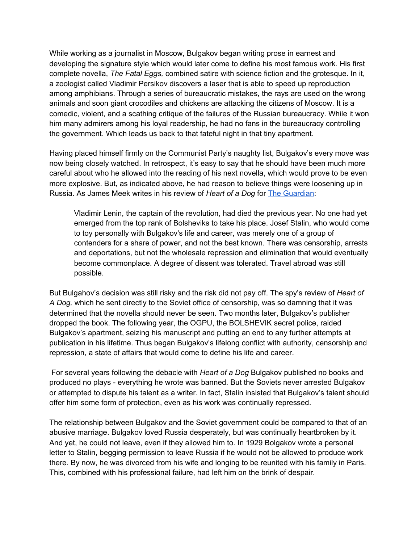While working as a journalist in Moscow, Bulgakov began writing prose in earnest and developing the signature style which would later come to define his most famous work. His first complete novella, *The Fatal Eggs,* combined satire with science fiction and the grotesque. In it, a zoologist called Vladimir Persikov discovers a laser that is able to speed up reproduction among amphibians. Through a series of bureaucratic mistakes, the rays are used on the wrong animals and soon giant crocodiles and chickens are attacking the citizens of Moscow. It is a comedic, violent, and a scathing critique of the failures of the Russian bureaucracy. While it won him many admirers among his loyal readership, he had no fans in the bureaucracy controlling the government. Which leads us back to that fateful night in that tiny apartment.

Having placed himself firmly on the Communist Party's naughty list, Bulgakov's every move was now being closely watched. In retrospect, it's easy to say that he should have been much more careful about who he allowed into the reading of his next novella, which would prove to be even more explosive. But, as indicated above, he had reason to believe things were loosening up in Russia. As James Meek writes in his review of *Heart of a Dog* for The [Guardian](https://www.theguardian.com/books/2007/aug/18/featuresreviews.guardianreview19#:~:text=The%20message%20of%20A%20Dog):

Vladimir Lenin, the captain of the revolution, had died the previous year. No one had yet emerged from the top rank of Bolsheviks to take his place. Josef Stalin, who would come to toy personally with Bulgakov's life and career, was merely one of a group of contenders for a share of power, and not the best known. There was censorship, arrests and deportations, but not the wholesale repression and elimination that would eventually become commonplace. A degree of dissent was tolerated. Travel abroad was still possible.

But Bulgahov's decision was still risky and the risk did not pay off. The spy's review of *Heart of A Dog,* which he sent directly to the Soviet office of censorship, was so damning that it was determined that the novella should never be seen. Two months later, Bulgakov's publisher dropped the book. The following year, the OGPU, the BOLSHEVIK secret police, raided Bulgakov's apartment, seizing his manuscript and putting an end to any further attempts at publication in his lifetime. Thus began Bulgakov's lifelong conflict with authority, censorship and repression, a state of affairs that would come to define his life and career.

For several years following the debacle with *Heart of a Dog* Bulgakov published no books and produced no plays - everything he wrote was banned. But the Soviets never arrested Bulgakov or attempted to dispute his talent as a writer. In fact, Stalin insisted that Bulgakov's talent should offer him some form of protection, even as his work was continually repressed.

The relationship between Bulgakov and the Soviet government could be compared to that of an abusive marriage. Bulgakov loved Russia desperately, but was continually heartbroken by it. And yet, he could not leave, even if they allowed him to. In 1929 Bolgakov wrote a personal letter to Stalin, begging permission to leave Russia if he would not be allowed to produce work there. By now, he was divorced from his wife and longing to be reunited with his family in Paris. This, combined with his professional failure, had left him on the brink of despair.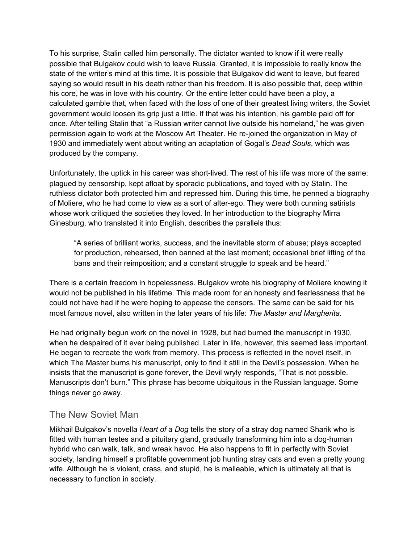To his surprise, Stalin called him personally. The dictator wanted to know if it were really possible that Bulgakov could wish to leave Russia. Granted, it is impossible to really know the state of the writer's mind at this time. It is possible that Bulgakov did want to leave, but feared saying so would result in his death rather than his freedom. It is also possible that, deep within his core, he was in love with his country. Or the entire letter could have been a ploy, a calculated gamble that, when faced with the loss of one of their greatest living writers, the Soviet government would loosen its grip just a little. If that was his intention, his gamble paid off for once. After telling Stalin that "a Russian writer cannot live outside his homeland," he was given permission again to work at the Moscow Art Theater. He re-joined the organization in May of 1930 and immediately went about writing an adaptation of Gogal's *Dead Souls*, which was produced by the company.

Unfortunately, the uptick in his career was short-lived. The rest of his life was more of the same: plagued by censorship, kept afloat by sporadic publications, and toyed with by Stalin. The ruthless dictator both protected him and repressed him. During this time, he penned a biography of Moliere, who he had come to view as a sort of alter-ego. They were both cunning satirists whose work critiqued the societies they loved. In her introduction to the biography Mirra Ginesburg, who translated it into English, describes the parallels thus:

"A series of brilliant works, success, and the inevitable storm of abuse; plays accepted for production, rehearsed, then banned at the last moment; occasional brief lifting of the bans and their reimposition; and a constant struggle to speak and be heard."

There is a certain freedom in hopelessness. Bulgakov wrote his biography of Moliere knowing it would not be published in his lifetime. This made room for an honesty and fearlessness that he could not have had if he were hoping to appease the censors. The same can be said for his most famous novel, also written in the later years of his life: *The Master and Margherita.*

He had originally begun work on the novel in 1928, but had burned the manuscript in 1930, when he despaired of it ever being published. Later in life, however, this seemed less important. He began to recreate the work from memory. This process is reflected in the novel itself, in which The Master burns his manuscript, only to find it still in the Devil's possession. When he insists that the manuscript is gone forever, the Devil wryly responds, "That is not possible. Manuscripts don't burn." This phrase has become ubiquitous in the Russian language. Some things never go away.

#### The New Soviet Man

Mikhail Bulgakov's novella *Heart of a Dog* tells the story of a stray dog named Sharik who is fitted with human testes and a pituitary gland, gradually transforming him into a dog-human hybrid who can walk, talk, and wreak havoc. He also happens to fit in perfectly with Soviet society, landing himself a profitable government job hunting stray cats and even a pretty young wife. Although he is violent, crass, and stupid, he is malleable, which is ultimately all that is necessary to function in society.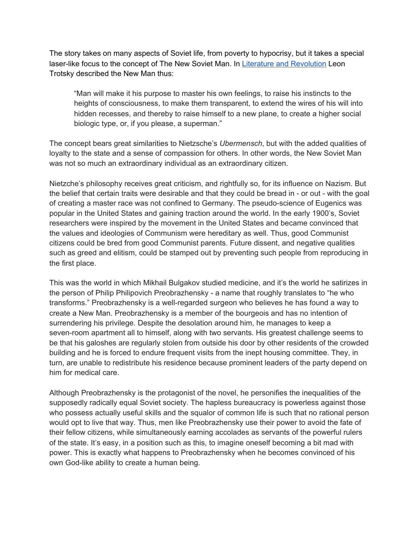The story takes on many aspects of Soviet life, from poverty to hypocrisy, but it takes a special laser-like focus to the concept of The New Soviet Man. In Literature and [Revolution](https://www.marxists.org/archive/trotsky/1924/lit_revo/index.htm) Leon Trotsky described the New Man thus:

"Man will make it his purpose to master his own feelings, to raise his instincts to the heights of consciousness, to make them transparent, to extend the wires of his will into hidden recesses, and thereby to raise himself to a new plane, to create a higher social biologic type, or, if you please, a superman."

The concept bears great similarities to Nietzsche's *Ubermensch*, but with the added qualities of loyalty to the state and a sense of compassion for others. In other words, the New Soviet Man was not so much an extraordinary individual as an extraordinary citizen.

Nietzche's philosophy receives great criticism, and rightfully so, for its influence on Nazism. But the belief that certain traits were desirable and that they could be bread in - or out - with the goal of creating a master race was not confined to Germany. The pseudo-science of Eugenics was popular in the United States and gaining traction around the world. In the early 1900's, Soviet researchers were inspired by the movement in the United States and became convinced that the values and ideologies of Communism were hereditary as well. Thus, good Communist citizens could be bred from good Communist parents. Future dissent, and negative qualities such as greed and elitism, could be stamped out by preventing such people from reproducing in the first place.

This was the world in which Mikhail Bulgakov studied medicine, and it's the world he satirizes in the person of Philip Philipovich Preobrazhensky - a name that roughly translates to "he who transforms." Preobrazhensky is a well-regarded surgeon who believes he has found a way to create a New Man. Preobrazhensky is a member of the bourgeois and has no intention of surrendering his privilege. Despite the desolation around him, he manages to keep a seven-room apartment all to himself, along with two servants. His greatest challenge seems to be that his galoshes are regularly stolen from outside his door by other residents of the crowded building and he is forced to endure frequent visits from the inept housing committee. They, in turn, are unable to redistribute his residence because prominent leaders of the party depend on him for medical care.

Although Preobrazhensky is the protagonist of the novel, he personifies the inequalities of the supposedly radically equal Soviet society. The hapless bureaucracy is powerless against those who possess actually useful skills and the squalor of common life is such that no rational person would opt to live that way. Thus, men like Preobrazhensky use their power to avoid the fate of their fellow citizens, while simultaneously earning accolades as servants of the powerful rulers of the state. It's easy, in a position such as this, to imagine oneself becoming a bit mad with power. This is exactly what happens to Preobrazhensky when he becomes convinced of his own God-like ability to create a human being.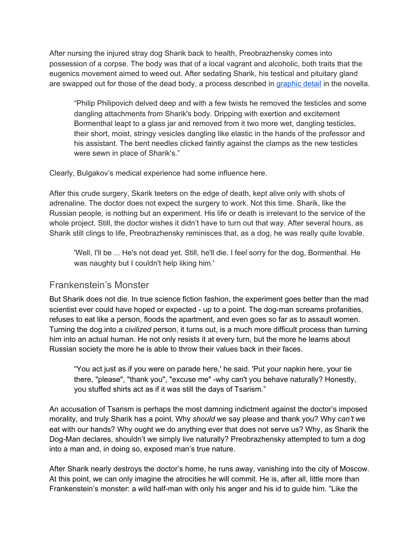After nursing the injured stray dog Sharik back to health, Preobrazhensky comes into possession of a corpse. The body was that of a local vagrant and alcoholic, both traits that the eugenics movement aimed to weed out. After sedating Sharik, his testical and pituitary gland are swapped out for those of the dead body, a process described in [graphic](https://www.masterandmargarita.eu/archieven/tekstenbulgakov/heartdog.pdf) detail in the novella.

"Philip Philipovich delved deep and with a few twists he removed the testicles and some dangling attachments from Sharik's body. Dripping with exertion and excitement Bormenthal leapt to a glass jar and removed from it two more wet, dangling testicles, their short, moist, stringy vesicles dangling like elastic in the hands of the professor and his assistant. The bent needles clicked faintly against the clamps as the new testicles were sewn in place of Sharik's."

Clearly, Bulgakov's medical experience had some influence here.

After this crude surgery, Skarik teeters on the edge of death, kept alive only with shots of adrenaline. The doctor does not expect the surgery to work. Not this time. Sharik, like the Russian people, is nothing but an experiment. His life or death is irrelevant to the service of the whole project. Still, the doctor wishes it didn't have to turn out that way. After several hours, as Sharik still clings to life, Preobrazhensky reminisces that, as a dog, he was really quite lovable.

'Well, I'll be ... He's not dead yet. Still, he'll die. I feel sorry for the dog, Bormenthal. He was naughty but I couldn't help liking him.'

#### Frankenstein's Monster

But Sharik does not die. In true science fiction fashion, the experiment goes better than the mad scientist ever could have hoped or expected - up to a point. The dog-man screams profanities, refuses to eat like a person, floods the apartment, and even goes so far as to assault women. Turning the dog into a *civilized* person, it turns out, is a much more difficult process than turning him into an actual human. He not only resists it at every turn, but the more he learns about Russian society the more he is able to throw their values back in their faces.

"You act just as if you were on parade here,' he said. 'Put your napkin here, your tie there, "please", "thank you", "excuse me" -why can't you behave naturally? Honestly, you stuffed shirts act as if it was still the days of Tsarism."

An accusation of Tsarism is perhaps the most damning indictment against the doctor's imposed morality, and truly Sharik has a point. Why *should* we say please and thank you? Why *can't* we eat with our hands? Why ought we do anything ever that does not serve us? Why, as Sharik the Dog-Man declares, shouldn't we simply live naturally? Preobrazhensky attempted to turn a dog into a man and, in doing so, exposed man's true nature.

After Sharik nearly destroys the doctor's home, he runs away, vanishing into the city of Moscow. At this point, we can only imagine the atrocities he will commit. He is, after all, little more than Frankenstein's monster: a wild half-man with only his anger and his id to guide him. "Like the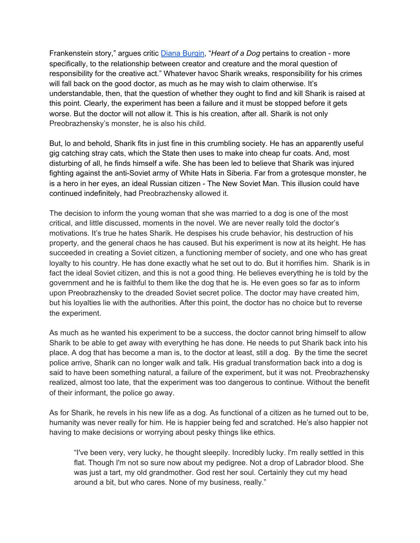Frankenstein story," argues critic Diana [Burgin](https://www.jstor.org/stable/307672?origin=crossref&seq=1), "*Heart of a Dog* pertains to creation - more specifically, to the relationship between creator and creature and the moral question of responsibility for the creative act." Whatever havoc Sharik wreaks, responsibility for his crimes will fall back on the good doctor, as much as he may wish to claim otherwise. It's understandable, then, that the question of whether they ought to find and kill Sharik is raised at this point. Clearly, the experiment has been a failure and it must be stopped before it gets worse. But the doctor will not allow it. This is his creation, after all. Sharik is not only Preobrazhensky's monster, he is also his child.

But, lo and behold, Sharik fits in just fine in this crumbling society. He has an apparently useful gig catching stray cats, which the State then uses to make into cheap fur coats. And, most disturbing of all, he finds himself a wife. She has been led to believe that Sharik was injured fighting against the anti-Soviet army of White Hats in Siberia. Far from a grotesque monster, he is a hero in her eyes, an ideal Russian citizen - The New Soviet Man. This illusion could have continued indefinitely, had Preobrazhensky allowed it.

The decision to inform the young woman that she was married to a dog is one of the most critical, and little discussed, moments in the novel. We are never really told the doctor's motivations. It's true he hates Sharik. He despises his crude behavior, his destruction of his property, and the general chaos he has caused. But his experiment is now at its height. He has succeeded in creating a Soviet citizen, a functioning member of society, and one who has great loyalty to his country. He has done exactly what he set out to do. But it horrifies him. Sharik is in fact the ideal Soviet citizen, and this is not a good thing. He believes everything he is told by the government and he is faithful to them like the dog that he is. He even goes so far as to inform upon Preobrazhensky to the dreaded Soviet secret police. The doctor may have created him, but his loyalties lie with the authorities. After this point, the doctor has no choice but to reverse the experiment.

As much as he wanted his experiment to be a success, the doctor cannot bring himself to allow Sharik to be able to get away with everything he has done. He needs to put Sharik back into his place. A dog that has become a man is, to the doctor at least, still a dog. By the time the secret police arrive, Sharik can no longer walk and talk. His gradual transformation back into a dog is said to have been something natural, a failure of the experiment, but it was not. Preobrazhensky realized, almost too late, that the experiment was too dangerous to continue. Without the benefit of their informant, the police go away.

As for Sharik, he revels in his new life as a dog. As functional of a citizen as he turned out to be, humanity was never really for him. He is happier being fed and scratched. He's also happier not having to make decisions or worrying about pesky things like ethics.

"I've been very, very lucky, he thought sleepily. Incredibly lucky. I'm really settled in this flat. Though I'm not so sure now about my pedigree. Not a drop of Labrador blood. She was just a tart, my old grandmother. God rest her soul. Certainly they cut my head around a bit, but who cares. None of my business, really."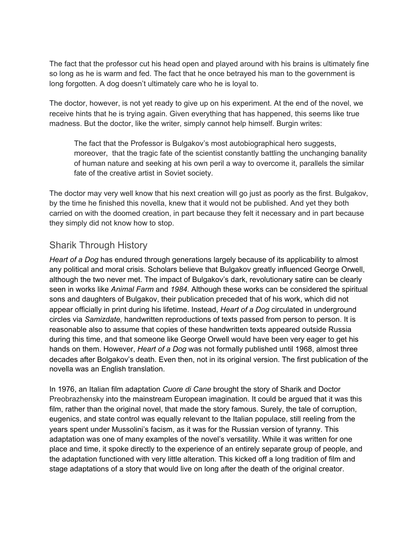The fact that the professor cut his head open and played around with his brains is ultimately fine so long as he is warm and fed. The fact that he once betrayed his man to the government is long forgotten. A dog doesn't ultimately care who he is loyal to.

The doctor, however, is not yet ready to give up on his experiment. At the end of the novel, we receive hints that he is trying again. Given everything that has happened, this seems like true madness. But the doctor, like the writer, simply cannot help himself. Burgin writes:

The fact that the Professor is Bulgakov's most autobiographical hero suggests, moreover, that the tragic fate of the scientist constantly battling the unchanging banality of human nature and seeking at his own peril a way to overcome it, parallels the similar fate of the creative artist in Soviet society.

The doctor may very well know that his next creation will go just as poorly as the first. Bulgakov, by the time he finished this novella, knew that it would not be published. And yet they both carried on with the doomed creation, in part because they felt it necessary and in part because they simply did not know how to stop.

## Sharik Through History

*Heart of a Dog* has endured through generations largely because of its applicability to almost any political and moral crisis. Scholars believe that Bulgakov greatly influenced George Orwell, although the two never met. The impact of Bulgakov's dark, revolutionary satire can be clearly seen in works like *Animal Farm* and *1984.* Although these works can be considered the spiritual sons and daughters of Bulgakov, their publication preceded that of his work, which did not appear officially in print during his lifetime. Instead, *Heart of a Dog* circulated in underground circles via *Samizdate,* handwritten reproductions of texts passed from person to person. It is reasonable also to assume that copies of these handwritten texts appeared outside Russia during this time, and that someone like George Orwell would have been very eager to get his hands on them. However, *Heart of a Dog* was not formally published until 1968, almost three decades after Bolgakov's death. Even then, not in its original version. The first publication of the novella was an English translation.

In 1976, an Italian film adaptation *Cuore di Cane* brought the story of Sharik and Doctor Preobrazhensky into the mainstream European imagination. It could be argued that it was this film, rather than the original novel, that made the story famous. Surely, the tale of corruption, eugenics, and state control was equally relevant to the Italian populace, still reeling from the years spent under Mussolini's facism, as it was for the Russian version of tyranny. This adaptation was one of many examples of the novel's versatility. While it was written for one place and time, it spoke directly to the experience of an entirely separate group of people, and the adaptation functioned with very little alteration. This kicked off a long tradition of film and stage adaptations of a story that would live on long after the death of the original creator.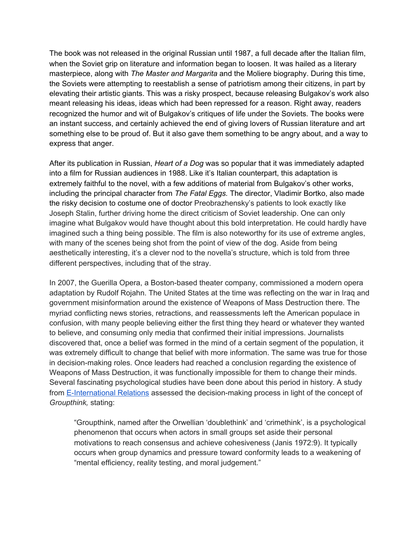The book was not released in the original Russian until 1987, a full decade after the Italian film, when the Soviet grip on literature and information began to loosen. It was hailed as a literary masterpiece, along with *The Master and Margarita* and the Moliere biography. During this time, the Soviets were attempting to reestablish a sense of patriotism among their citizens, in part by elevating their artistic giants. This was a risky prospect, because releasing Bulgakov's work also meant releasing his ideas, ideas which had been repressed for a reason. Right away, readers recognized the humor and wit of Bulgakov's critiques of life under the Soviets. The books were an instant success, and certainly achieved the end of giving lovers of Russian literature and art something else to be proud of. But it also gave them something to be angry about, and a way to express that anger.

After its publication in Russian, *Heart of a Dog* was so popular that it was immediately adapted into a film for Russian audiences in 1988. Like it's Italian counterpart, this adaptation is extremely faithful to the novel, with a few additions of material from Bulgakov's other works, including the principal character from *The Fatal Eggs.* The director, Vladimir Bortko, also made the risky decision to costume one of doctor Preobrazhensky's patients to look exactly like Joseph Stalin, further driving home the direct criticism of Soviet leadership. One can only imagine what Bulgakov would have thought about this bold interpretation. He could hardly have imagined such a thing being possible. The film is also noteworthy for its use of extreme angles, with many of the scenes being shot from the point of view of the dog. Aside from being aesthetically interesting, it's a clever nod to the novella's structure, which is told from three different perspectives, including that of the stray.

In 2007, the Guerilla Opera, a Boston-based theater company, commissioned a modern opera adaptation by Rudolf Rojahn. The United States at the time was reflecting on the war in Iraq and government misinformation around the existence of Weapons of Mass Destruction there. The myriad conflicting news stories, retractions, and reassessments left the American populace in confusion, with many people believing either the first thing they heard or whatever they wanted to believe, and consuming only media that confirmed their initial impressions. Journalists discovered that, once a belief was formed in the mind of a certain segment of the population, it was extremely difficult to change that belief with more information. The same was true for those in decision-making roles. Once leaders had reached a conclusion regarding the existence of Weapons of Mass Destruction, it was functionally impossible for them to change their minds. Several fascinating psychological studies have been done about this period in history. A study from [E-International](https://www.e-ir.info/2015/07/25/unknown-knowns-a-groupthink-model-on-the-u-s-decision-to-go-to-war-in-iraq/) Relations assessed the decision-making process in light of the concept of *Groupthink,* stating:

"Groupthink, named after the Orwellian 'doublethink' and 'crimethink', is a psychological phenomenon that occurs when actors in small groups set aside their personal motivations to reach consensus and achieve cohesiveness (Janis 1972:9). It typically occurs when group dynamics and pressure toward conformity leads to a weakening of "mental efficiency, reality testing, and moral judgement."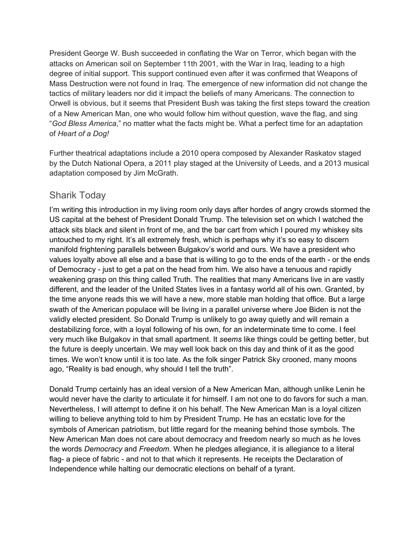President George W. Bush succeeded in conflating the War on Terror, which began with the attacks on American soil on September 11th 2001, with the War in Iraq, leading to a high degree of initial support. This support continued even after it was confirmed that Weapons of Mass Destruction were not found in Iraq. The emergence of new information did not change the tactics of military leaders nor did it impact the beliefs of many Americans. The connection to Orwell is obvious, but it seems that President Bush was taking the first steps toward the creation of a New American Man, one who would follow him without question, wave the flag, and sing "*God Bless America*," no matter what the facts might be. What a perfect time for an adaptation of *Heart of a Dog!*

Further theatrical adaptations include a 2010 opera composed by Alexander Raskatov staged by the Dutch National Opera, a 2011 play staged at the University of Leeds, and a 2013 musical adaptation composed by Jim McGrath.

### Sharik Today

I'm writing this introduction in my living room only days after hordes of angry crowds stormed the US capital at the behest of President Donald Trump. The television set on which I watched the attack sits black and silent in front of me, and the bar cart from which I poured my whiskey sits untouched to my right. It's all extremely fresh, which is perhaps why it's so easy to discern manifold frightening parallels between Bulgakov's world and ours. We have a president who values loyalty above all else and a base that is willing to go to the ends of the earth - or the ends of Democracy - just to get a pat on the head from him. We also have a tenuous and rapidly weakening grasp on this thing called Truth. The realities that many Americans live in are vastly different, and the leader of the United States lives in a fantasy world all of his own. Granted, by the time anyone reads this we will have a new, more stable man holding that office. But a large swath of the American populace will be living in a parallel universe where Joe Biden is not the validly elected president. So Donald Trump is unlikely to go away quietly and will remain a destabilizing force, with a loyal following of his own, for an indeterminate time to come. I feel very much like Bulgakov in that small apartment. It *seems* like things could be getting better, but the future is deeply uncertain. We may well look back on this day and think of it as the good times. We won't know until it is too late. As the folk singer Patrick Sky crooned, many moons ago, "Reality is bad enough, why should I tell the truth".

Donald Trump certainly has an ideal version of a New American Man, although unlike Lenin he would never have the clarity to articulate it for himself. I am not one to do favors for such a man. Nevertheless, I will attempt to define it on his behalf. The New American Man is a loyal citizen willing to believe anything told to him by President Trump. He has an ecstatic love for the symbols of American patriotism, but little regard for the meaning behind those symbols. The New American Man does not care about democracy and freedom nearly so much as he loves the words *Democracy* and *Freedom.* When he pledges allegiance, it is allegiance to a literal flag- a piece of fabric - and not to that which it represents. He receipts the Declaration of Independence while halting our democratic elections on behalf of a tyrant.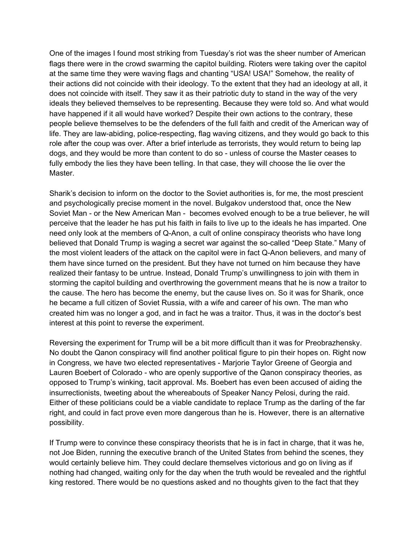One of the images I found most striking from Tuesday's riot was the sheer number of American flags there were in the crowd swarming the capitol building. Rioters were taking over the capitol at the same time they were waving flags and chanting "USA! USA!" Somehow, the reality of their actions did not coincide with their ideology. To the extent that they had an ideology at all, it does not coincide with itself. They saw it as their patriotic duty to stand in the way of the very ideals they believed themselves to be representing. Because they were told so. And what would have happened if it all would have worked? Despite their own actions to the contrary, these people believe themselves to be the defenders of the full faith and credit of the American way of life. They are law-abiding, police-respecting, flag waving citizens, and they would go back to this role after the coup was over. After a brief interlude as terrorists, they would return to being lap dogs, and they would be more than content to do so - unless of course the Master ceases to fully embody the lies they have been telling. In that case, they will choose the lie over the Master.

Sharik's decision to inform on the doctor to the Soviet authorities is, for me, the most prescient and psychologically precise moment in the novel. Bulgakov understood that, once the New Soviet Man - or the New American Man - becomes evolved enough to be a true believer, he will perceive that the leader he has put his faith in fails to live up to the ideals he has imparted. One need only look at the members of Q-Anon, a cult of online conspiracy theorists who have long believed that Donald Trump is waging a secret war against the so-called "Deep State." Many of the most violent leaders of the attack on the capitol were in fact Q-Anon believers, and many of them have since turned on the president. But they have not turned on him because they have realized their fantasy to be untrue. Instead, Donald Trump's unwillingness to join with them in storming the capitol building and overthrowing the government means that he is now a traitor to the cause. The hero has become the enemy, but the cause lives on. So it was for Sharik, once he became a full citizen of Soviet Russia, with a wife and career of his own. The man who created him was no longer a god, and in fact he was a traitor. Thus, it was in the doctor's best interest at this point to reverse the experiment.

Reversing the experiment for Trump will be a bit more difficult than it was for Preobrazhensky. No doubt the Qanon conspiracy will find another political figure to pin their hopes on. Right now in Congress, we have two elected representatives - Marjorie Taylor Greene of Georgia and Lauren Boebert of Colorado - who are openly supportive of the Qanon conspiracy theories, as opposed to Trump's winking, tacit approval. Ms. Boebert has even been accused of aiding the insurrectionists, tweeting about the whereabouts of Speaker Nancy Pelosi, during the raid. Either of these politicians could be a viable candidate to replace Trump as the darling of the far right, and could in fact prove even more dangerous than he is. However, there is an alternative possibility.

If Trump were to convince these conspiracy theorists that he is in fact in charge, that it was he, not Joe Biden, running the executive branch of the United States from behind the scenes, they would certainly believe him. They could declare themselves victorious and go on living as if nothing had changed, waiting only for the day when the truth would be revealed and the rightful king restored. There would be no questions asked and no thoughts given to the fact that they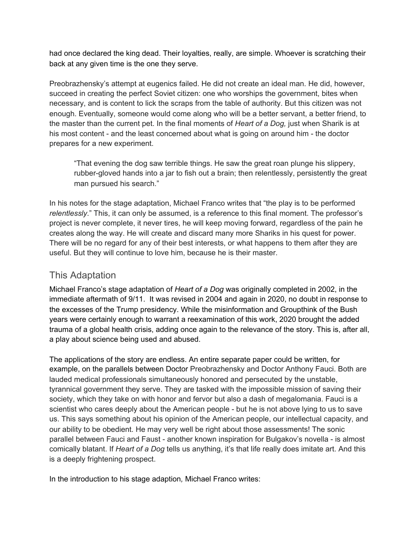had once declared the king dead. Their loyalties, really, are simple. Whoever is scratching their back at any given time is the one they serve.

Preobrazhensky's attempt at eugenics failed. He did not create an ideal man. He did, however, succeed in creating the perfect Soviet citizen: one who worships the government, bites when necessary, and is content to lick the scraps from the table of authority. But this citizen was not enough. Eventually, someone would come along who will be a better servant, a better friend, to the master than the current pet. In the final moments of *Heart of a Dog,* just when Sharik is at his most content - and the least concerned about what is going on around him - the doctor prepares for a new experiment.

"That evening the dog saw terrible things. He saw the great roan plunge his slippery, rubber-gloved hands into a jar to fish out a brain; then relentlessly, persistently the great man pursued his search."

In his notes for the stage adaptation, Michael Franco writes that "the play is to be performed *relentlessly*." This, it can only be assumed, is a reference to this final moment. The professor's project is never complete, it never tires, he will keep moving forward, regardless of the pain he creates along the way. He will create and discard many more Shariks in his quest for power. There will be no regard for any of their best interests, or what happens to them after they are useful. But they will continue to love him, because he is their master.

## This Adaptation

Michael Franco's stage adaptation of *Heart of a Dog* was originally completed in 2002, in the immediate aftermath of 9/11. It was revised in 2004 and again in 2020, no doubt in response to the excesses of the Trump presidency. While the misinformation and Groupthink of the Bush years were certainly enough to warrant a reexamination of this work, 2020 brought the added trauma of a global health crisis, adding once again to the relevance of the story. This is, after all, a play about science being used and abused.

The applications of the story are endless. An entire separate paper could be written, for example, on the parallels between Doctor Preobrazhensky and Doctor Anthony Fauci. Both are lauded medical professionals simultaneously honored and persecuted by the unstable, tyrannical government they serve. They are tasked with the impossible mission of saving their society, which they take on with honor and fervor but also a dash of megalomania. Fauci is a scientist who cares deeply about the American people - but he is not above lying to us to save us. This says something about his opinion of the American people, our intellectual capacity, and our ability to be obedient. He may very well be right about those assessments! The sonic parallel between Fauci and Faust - another known inspiration for Bulgakov's novella - is almost comically blatant. If *Heart of a Dog* tells us anything, it's that life really does imitate art. And this is a deeply frightening prospect.

In the introduction to his stage adaption*,* Michael Franco writes: